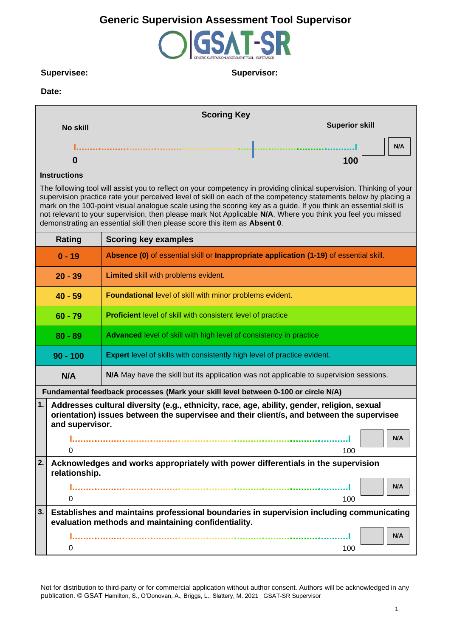### **Supervisee: Supervisor:**

#### **Date:**

|                 | <b>Scoring Key</b>    |
|-----------------|-----------------------|
| <b>No skill</b> | <b>Superior skill</b> |
|                 | N/A                   |
|                 | 100                   |

#### **Instructions**

The following tool will assist you to reflect on your competency in providing clinical supervision. Thinking of your supervision practice rate your perceived level of skill on each of the competency statements below by placing a mark on the 100-point visual analogue scale using the scoring key as a guide. If you think an essential skill is not relevant to your supervision, then please mark Not Applicable **N/A**. Where you think you feel you missed demonstrating an essential skill then please score this item as **Absent 0**.

|                                                                                               | Rating                                                                                                                                                                                                      | <b>Scoring key examples</b>                                                            |  |  |
|-----------------------------------------------------------------------------------------------|-------------------------------------------------------------------------------------------------------------------------------------------------------------------------------------------------------------|----------------------------------------------------------------------------------------|--|--|
|                                                                                               | $0 - 19$                                                                                                                                                                                                    | Absence (0) of essential skill or Inappropriate application (1-19) of essential skill. |  |  |
|                                                                                               | $20 - 39$                                                                                                                                                                                                   | Limited skill with problems evident.                                                   |  |  |
|                                                                                               | Foundational level of skill with minor problems evident.<br>$40 - 59$                                                                                                                                       |                                                                                        |  |  |
|                                                                                               | <b>Proficient</b> level of skill with consistent level of practice<br>$60 - 79$                                                                                                                             |                                                                                        |  |  |
|                                                                                               | Advanced level of skill with high level of consistency in practice<br>$80 - 89$                                                                                                                             |                                                                                        |  |  |
| <b>Expert</b> level of skills with consistently high level of practice evident.<br>$90 - 100$ |                                                                                                                                                                                                             |                                                                                        |  |  |
|                                                                                               | N/A                                                                                                                                                                                                         | N/A May have the skill but its application was not applicable to supervision sessions. |  |  |
|                                                                                               |                                                                                                                                                                                                             | Fundamental feedback processes (Mark your skill level between 0-100 or circle N/A)     |  |  |
| 1.                                                                                            | Addresses cultural diversity (e.g., ethnicity, race, age, ability, gender, religion, sexual<br>orientation) issues between the supervisee and their client/s, and between the supervisee<br>and supervisor. |                                                                                        |  |  |
|                                                                                               |                                                                                                                                                                                                             | N/A                                                                                    |  |  |
|                                                                                               | 0                                                                                                                                                                                                           | 100                                                                                    |  |  |
| 2.                                                                                            | Acknowledges and works appropriately with power differentials in the supervision<br>relationship.                                                                                                           |                                                                                        |  |  |
|                                                                                               |                                                                                                                                                                                                             | N/A                                                                                    |  |  |
|                                                                                               | 0                                                                                                                                                                                                           | 100                                                                                    |  |  |
| 3.                                                                                            | Establishes and maintains professional boundaries in supervision including communicating<br>evaluation methods and maintaining confidentiality.                                                             |                                                                                        |  |  |
|                                                                                               | 0                                                                                                                                                                                                           | N/A<br>100                                                                             |  |  |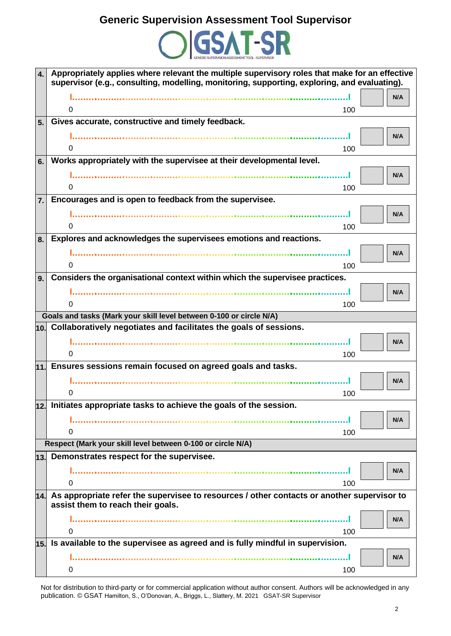

| $\mathbf{4}$ .   | Appropriately applies where relevant the multiple supervisory roles that make for an effective<br>supervisor (e.g., consulting, modelling, monitoring, supporting, exploring, and evaluating). |
|------------------|------------------------------------------------------------------------------------------------------------------------------------------------------------------------------------------------|
|                  | N/A                                                                                                                                                                                            |
|                  | 0<br>100                                                                                                                                                                                       |
| 5.               | Gives accurate, constructive and timely feedback.                                                                                                                                              |
|                  | N/A                                                                                                                                                                                            |
|                  | 0<br>100                                                                                                                                                                                       |
| 6.               | Works appropriately with the supervisee at their developmental level.                                                                                                                          |
|                  | N/A                                                                                                                                                                                            |
|                  | 0<br>100                                                                                                                                                                                       |
| $\overline{7}$ . | Encourages and is open to feedback from the supervisee.                                                                                                                                        |
|                  | N/A                                                                                                                                                                                            |
|                  | 0<br>100                                                                                                                                                                                       |
| 8.               | Explores and acknowledges the supervisees emotions and reactions.                                                                                                                              |
|                  | N/A                                                                                                                                                                                            |
|                  | 0<br>100                                                                                                                                                                                       |
| 9.               | Considers the organisational context within which the supervisee practices.                                                                                                                    |
|                  | N/A                                                                                                                                                                                            |
|                  | 0<br>100                                                                                                                                                                                       |
|                  | Goals and tasks (Mark your skill level between 0-100 or circle N/A)                                                                                                                            |
|                  | $\vert$ 10. Collaboratively negotiates and facilitates the goals of sessions.                                                                                                                  |
|                  | N/A                                                                                                                                                                                            |
|                  | 0<br>100                                                                                                                                                                                       |
|                  | $\vert$ 11. Ensures sessions remain focused on agreed goals and tasks.                                                                                                                         |
|                  | N/A                                                                                                                                                                                            |
|                  | 100<br>0                                                                                                                                                                                       |
|                  | 12. Initiates appropriate tasks to achieve the goals of the session.                                                                                                                           |
|                  | N/A                                                                                                                                                                                            |
|                  | 0<br>100                                                                                                                                                                                       |
|                  | Respect (Mark your skill level between 0-100 or circle N/A)                                                                                                                                    |
| 13.              | Demonstrates respect for the supervisee.                                                                                                                                                       |
|                  | N/A                                                                                                                                                                                            |
|                  | 100<br>O                                                                                                                                                                                       |
|                  | $\vert$ 14. As appropriate refer the supervisee to resources / other contacts or another supervisor to<br>assist them to reach their goals.                                                    |
|                  | N/A                                                                                                                                                                                            |
|                  | 0<br>100                                                                                                                                                                                       |
|                  | $\vert$ 15. Is available to the supervisee as agreed and is fully mindful in supervision.                                                                                                      |
|                  | N/A                                                                                                                                                                                            |
|                  | 0<br>100                                                                                                                                                                                       |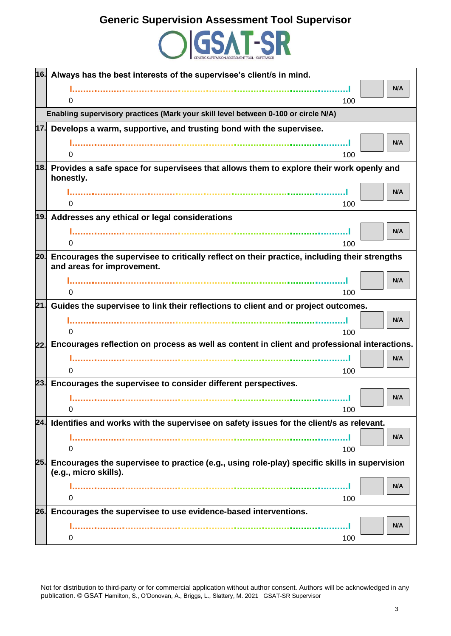

|     | 16. Always has the best interests of the supervisee's client/s in mind.<br>N/A                                                 |
|-----|--------------------------------------------------------------------------------------------------------------------------------|
|     | 100<br>0                                                                                                                       |
|     | Enabling supervisory practices (Mark your skill level between 0-100 or circle N/A)                                             |
| 17. | Develops a warm, supportive, and trusting bond with the supervisee.                                                            |
|     | N/A                                                                                                                            |
|     | 0<br>100                                                                                                                       |
|     | 18. Provides a safe space for supervisees that allows them to explore their work openly and                                    |
|     | honestly.                                                                                                                      |
|     | N/A                                                                                                                            |
|     | 0<br>100                                                                                                                       |
|     | 19. Addresses any ethical or legal considerations                                                                              |
|     | N/A                                                                                                                            |
|     | 100<br>0                                                                                                                       |
|     | 20. Encourages the supervisee to critically reflect on their practice, including their strengths<br>and areas for improvement. |
|     | N/A                                                                                                                            |
|     | 0<br>100                                                                                                                       |
| 21. | Guides the supervisee to link their reflections to client and or project outcomes.                                             |
|     | N/A                                                                                                                            |
|     | O<br>100                                                                                                                       |
|     | 22. Encourages reflection on process as well as content in client and professional interactions.                               |
|     | N/A                                                                                                                            |
|     | 0<br>100                                                                                                                       |
| 23. | Encourages the supervisee to consider different perspectives.                                                                  |
|     | N/A                                                                                                                            |
|     | 0<br>100                                                                                                                       |
|     | 24. Identifies and works with the supervisee on safety issues for the client/s as relevant.                                    |
|     | N/A                                                                                                                            |
|     | 0<br>100                                                                                                                       |
|     | 25. Encourages the supervisee to practice (e.g., using role-play) specific skills in supervision<br>(e.g., micro skills).      |
|     | N/A                                                                                                                            |
|     | 0<br>100                                                                                                                       |
|     | 26. Encourages the supervisee to use evidence-based interventions.                                                             |
|     | N/A                                                                                                                            |
|     | 100<br>0                                                                                                                       |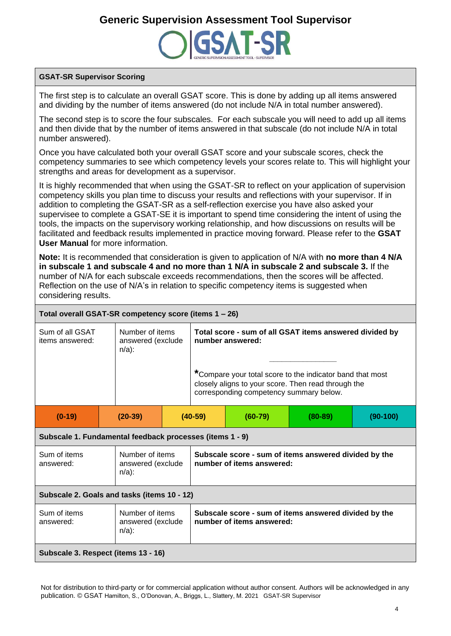

### **GSAT-SR Supervisor Scoring**

The first step is to calculate an overall GSAT score. This is done by adding up all items answered and dividing by the number of items answered (do not include N/A in total number answered).

The second step is to score the four subscales. For each subscale you will need to add up all items and then divide that by the number of items answered in that subscale (do not include N/A in total number answered).

Once you have calculated both your overall GSAT score and your subscale scores, check the competency summaries to see which competency levels your scores relate to. This will highlight your strengths and areas for development as a supervisor.

It is highly recommended that when using the GSAT-SR to reflect on your application of supervision competency skills you plan time to discuss your results and reflections with your supervisor. If in addition to completing the GSAT-SR as a self-reflection exercise you have also asked your supervisee to complete a GSAT-SE it is important to spend time considering the intent of using the tools, the impacts on the supervisory working relationship, and how discussions on results will be facilitated and feedback results implemented in practice moving forward. Please refer to the **GSAT User Manual** for more information.

**Note:** It is recommended that consideration is given to application of N/A with **no more than 4 N/A in subscale 1 and subscale 4 and no more than 1 N/A in subscale 2 and subscale 3.** If the number of N/A for each subscale exceeds recommendations, then the scores will be affected. Reflection on the use of N/A's in relation to specific competency items is suggested when considering results.

### **Total overall GSAT-SR competency score (items 1 – 26)**

| Sum of all GSAT<br>items answered: | Number of items<br>answered (exclude<br>$n/a$ ): |         | Total score - sum of all GSAT items answered divided by<br>number answered:<br>*Compare your total score to the indicator band that most<br>closely aligns to your score. Then read through the<br>corresponding competency summary below. |         |          |
|------------------------------------|--------------------------------------------------|---------|--------------------------------------------------------------------------------------------------------------------------------------------------------------------------------------------------------------------------------------------|---------|----------|
| $(0-19)$                           | $(20-39)$                                        | (40-59) | (60-79)                                                                                                                                                                                                                                    | (80-89) | (90-100) |

#### **Subscale 1. Fundamental feedback processes (items 1 - 9)**

| Sum of items<br>answered:                                                     | Number of items<br>answered (exclude<br>$n/a$ ): | Subscale score - sum of items answered divided by the<br>number of items answered: |  |  |
|-------------------------------------------------------------------------------|--------------------------------------------------|------------------------------------------------------------------------------------|--|--|
| Subscale 2. Goals and tasks (items 10 - 12)                                   |                                                  |                                                                                    |  |  |
| Number of items<br>Sum of items<br>answered (exclude<br>answered:<br>$n/a$ ): |                                                  | Subscale score - sum of items answered divided by the<br>number of items answered: |  |  |
| Subscale 3. Respect (items 13 - 16)                                           |                                                  |                                                                                    |  |  |